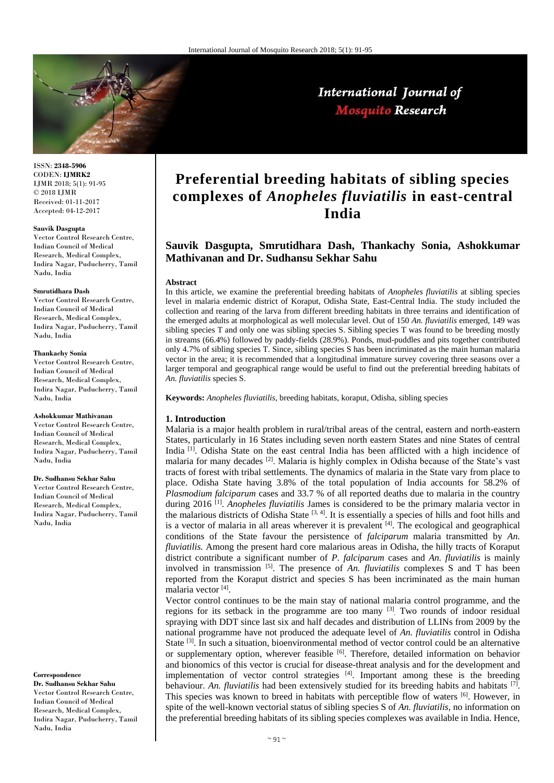

# International Journal of Mosquito Research

ISSN: **2348-5906** CODEN: **IJMRK2** IJMR 2018; 5(1): 91-95 © 2018 IJMR Received: 01-11-2017 Accepted: 04-12-2017

#### **Sauvik Dasgupta**

Vector Control Research Centre, Indian Council of Medical Research, Medical Complex, Indira Nagar, Puducherry, Tamil Nadu, India

#### **Smrutidhara Dash**

Vector Control Research Centre, Indian Council of Medical Research, Medical Complex, Indira Nagar, Puducherry, Tamil Nadu, India

#### **Thankachy Sonia**

Vector Control Research Centre, Indian Council of Medical Research, Medical Complex, Indira Nagar, Puducherry, Tamil Nadu, India

#### **Ashokkumar Mathivanan**

Vector Control Research Centre, Indian Council of Medical Research, Medical Complex, Indira Nagar, Puducherry, Tamil Nadu, India

#### **Dr. Sudhansu Sekhar Sahu**

Vector Control Research Centre, Indian Council of Medical Research, Medical Complex, Indira Nagar, Puducherry, Tamil Nadu, India

#### **Correspondence**

**Dr. Sudhansu Sekhar Sahu** Vector Control Research Centre, Indian Council of Medical Research, Medical Complex, Indira Nagar, Puducherry, Tamil Nadu, India

# **Preferential breeding habitats of sibling species complexes of** *Anopheles fluviatilis* **in east-central India**

# **Sauvik Dasgupta, Smrutidhara Dash, Thankachy Sonia, Ashokkumar Mathivanan and Dr. Sudhansu Sekhar Sahu**

#### **Abstract**

In this article, we examine the preferential breeding habitats of *Anopheles fluviatilis* at sibling species level in malaria endemic district of Koraput, Odisha State, East-Central India. The study included the collection and rearing of the larva from different breeding habitats in three terrains and identification of the emerged adults at morphological as well molecular level. Out of 150 *An. fluviatilis* emerged, 149 was sibling species T and only one was sibling species S. Sibling species T was found to be breeding mostly in streams (66.4%) followed by paddy-fields (28.9%). Ponds, mud-puddles and pits together contributed only 4.7% of sibling species T. Since, sibling species S has been incriminated as the main human malaria vector in the area; it is recommended that a longitudinal immature survey covering three seasons over a larger temporal and geographical range would be useful to find out the preferential breeding habitats of *An. fluviatilis* species S.

**Keywords:** *Anopheles fluviatilis,* breeding habitats, koraput, Odisha, sibling species

## **1. Introduction**

Malaria is a major health problem in rural/tribal areas of the central, eastern and north-eastern States, particularly in 16 States including seven north eastern States and nine States of central India <sup>[1]</sup>. Odisha State on the east central India has been afflicted with a high incidence of malaria for many decades [2]. Malaria is highly complex in Odisha because of the State's vast tracts of forest with tribal settlements. The dynamics of malaria in the State vary from place to place. Odisha State having 3.8% of the total population of India accounts for 58.2% of *Plasmodium falciparum* cases and 33.7 % of all reported deaths due to malaria in the country during 2016 [1] . *Anopheles fluviatilis* James is considered to be the primary malaria vector in the malarious districts of Odisha State  $[3, 4]$ . It is essentially a species of hills and foot hills and is a vector of malaria in all areas wherever it is prevalent  $[4]$ . The ecological and geographical conditions of the State favour the persistence of *falciparum* malaria transmitted by *An. fluviatilis.* Among the present hard core malarious areas in Odisha, the hilly tracts of Koraput district contribute a significant number of *P. falciparum* cases and *An. fluviatilis* is mainly involved in transmission [5] . The presence of *An. fluviatilis* complexes S and T has been reported from the Koraput district and species S has been incriminated as the main human malaria vector [4] .

Vector control continues to be the main stay of national malaria control programme, and the regions for its setback in the programme are too many <sup>[3]</sup>. Two rounds of indoor residual spraying with DDT since last six and half decades and distribution of LLINs from 2009 by the national programme have not produced the adequate level of *An. fluviatilis* control in Odisha State <sup>[3]</sup>. In such a situation, bioenvironmental method of vector control could be an alternative or supplementary option, wherever feasible  $[6]$ . Therefore, detailed information on behavior and bionomics of this vector is crucial for disease-threat analysis and for the development and implementation of vector control strategies  $[4]$ . Important among these is the breeding behaviour. An. *fluviatilis* had been extensively studied for its breeding habits and habitats <sup>[7]</sup>. This species was known to breed in habitats with perceptible flow of waters [6]. However, in spite of the well-known vectorial status of sibling species S of *An. fluviatilis,* no information on the preferential breeding habitats of its sibling species complexes was available in India. Hence,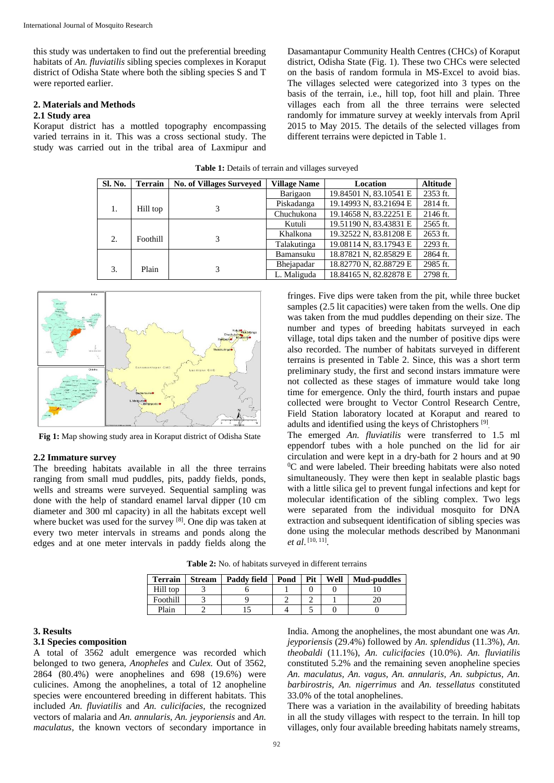this study was undertaken to find out the preferential breeding habitats of *An. fluviatilis* sibling species complexes in Koraput district of Odisha State where both the sibling species S and T were reported earlier.

#### **2. Materials and Methods 2.1 Study area**

Koraput district has a mottled topography encompassing varied terrains in it. This was a cross sectional study. The study was carried out in the tribal area of Laxmipur and

Dasamantapur Community Health Centres (CHCs) of Koraput district, Odisha State (Fig. 1). These two CHCs were selected on the basis of random formula in MS-Excel to avoid bias. The villages selected were categorized into 3 types on the basis of the terrain, i.e., hill top, foot hill and plain. Three villages each from all the three terrains were selected randomly for immature survey at weekly intervals from April 2015 to May 2015. The details of the selected villages from different terrains were depicted in Table 1.

| Sl. No. | <b>Terrain</b> | <b>No. of Villages Surveyed</b> | <b>Village Name</b> | Location               | <b>Altitude</b> |  |
|---------|----------------|---------------------------------|---------------------|------------------------|-----------------|--|
|         |                |                                 | Barigaon            | 19.84501 N, 83.10541 E | 2353 ft.        |  |
|         | Hill top       | 3                               | Piskadanga          | 19.14993 N, 83.21694 E | 2814 ft.        |  |
|         |                |                                 | Chuchukona          | 19.14658 N, 83.22251 E | 2146 ft.        |  |
|         |                |                                 | Kutuli              | 19.51190 N, 83.43831 E | 2565 ft.        |  |
| 2.      | Foothill       | 3                               | Khalkona            | 19.32522 N, 83.81208 E | 2653 ft.        |  |
|         |                |                                 | Talakutinga         | 19.08114 N, 83.17943 E | 2293 ft.        |  |
|         |                |                                 | Bamansuku           | 18.87821 N, 82.85829 E | 2864 ft.        |  |
| 3.      | Plain          | 3                               | Bhejapadar          | 18.82770 N, 82.88729 E | 2985 ft.        |  |
|         |                |                                 | L. Maliguda         | 18.84165 N, 82.82878 E | 2798 ft.        |  |

**Table 1:** Details of terrain and villages surveyed



**Fig 1:** Map showing study area in Koraput district of Odisha State

## **2.2 Immature survey**

The breeding habitats available in all the three terrains ranging from small mud puddles, pits, paddy fields, ponds, wells and streams were surveyed. Sequential sampling was done with the help of standard enamel larval dipper (10 cm diameter and 300 ml capacity) in all the habitats except well where bucket was used for the survey [8]. One dip was taken at every two meter intervals in streams and ponds along the edges and at one meter intervals in paddy fields along the

fringes. Five dips were taken from the pit, while three bucket samples (2.5 lit capacities) were taken from the wells. One dip was taken from the mud puddles depending on their size. The number and types of breeding habitats surveyed in each village, total dips taken and the number of positive dips were also recorded. The number of habitats surveyed in different terrains is presented in Table 2. Since, this was a short term preliminary study, the first and second instars immature were not collected as these stages of immature would take long time for emergence. Only the third, fourth instars and pupae collected were brought to Vector Control Research Centre, Field Station laboratory located at Koraput and reared to adults and identified using the keys of Christophers [9] .

The emerged *An. fluviatilis* were transferred to 1.5 ml eppendorf tubes with a hole punched on the lid for air circulation and were kept in a dry-bath for 2 hours and at 90  ${}^{0}C$  and were labeled. Their breeding habitats were also noted simultaneously. They were then kept in sealable plastic bags with a little silica gel to prevent fungal infections and kept for molecular identification of the sibling complex. Two legs were separated from the individual mosquito for DNA extraction and subsequent identification of sibling species was done using the molecular methods described by Manonmani *et al*. [10, 11] .

**Table 2:** No. of habitats surveyed in different terrains

| <b>Terrain</b> | <b>Stream</b> | <b>Paddy field</b> | Pond | Pit | Well | <b>Mud-puddles</b> |
|----------------|---------------|--------------------|------|-----|------|--------------------|
| Hill top       |               |                    |      |     |      |                    |
| Foothill       |               |                    |      |     |      |                    |
| Plain          |               |                    |      |     |      |                    |

## **3. Results**

## **3.1 Species composition**

A total of 3562 adult emergence was recorded which belonged to two genera, *Anopheles* and *Culex.* Out of 3562, 2864 (80.4%) were anophelines and 698 (19.6%) were culicines. Among the anophelines, a total of 12 anopheline species were encountered breeding in different habitats. This included *An. fluviatilis* and *An. culicifacies,* the recognized vectors of malaria and *An. annularis, An. jeyporiensis* and *An. maculatus*, the known vectors of secondary importance in

India. Among the anophelines, the most abundant one was *An. jeyporiensis* (29.4%) followed by *An. splendidus* (11.3%), *An. theobaldi* (11.1%), *An. culicifacies* (10.0%). *An. fluviatilis*  constituted 5.2% and the remaining seven anopheline species *An. maculatus, An. vagus, An. annularis, An. subpictus, An. barbirostris, An. nigerrimus* and *An. tessellatus* constituted 33.0% of the total anophelines.

There was a variation in the availability of breeding habitats in all the study villages with respect to the terrain. In hill top villages, only four available breeding habitats namely streams,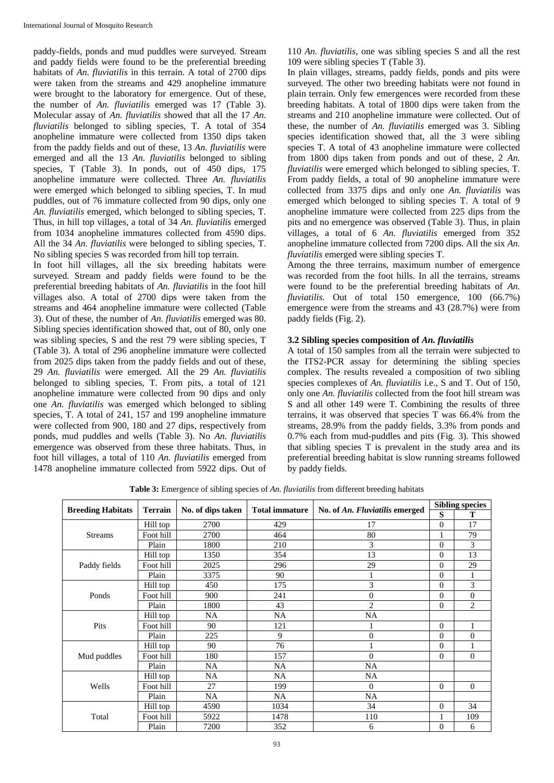paddy-fields, ponds and mud puddles were surveyed. Stream and paddy fields were found to be the preferential breeding habitats of *An. fluviatilis* in this terrain. A total of 2700 dips were taken from the streams and 429 anopheline immature were brought to the laboratory for emergence. Out of these, the number of *An. fluviatilis* emerged was 17 (Table 3). Molecular assay of *An. fluviatilis* showed that all the 17 *An. fluviatilis* belonged to sibling species, T. A total of 354 anopheline immature were collected from 1350 dips taken from the paddy fields and out of these, 13 *An. fluviatilis* were emerged and all the 13 *An. fluviatilis* belonged to sibling species, T (Table 3). In ponds, out of 450 dips, 175 anopheline immature were collected. Three *An. fluviatilis* were emerged which belonged to sibling species, T. In mud puddles, out of 76 immature collected from 90 dips, only one *An. fluviatilis* emerged, which belonged to sibling species, T. Thus, in hill top villages, a total of 34 *An. fluviatilis* emerged from 1034 anopheline immatures collected from 4590 dips. All the 34 *An. fluviatilis* were belonged to sibling species, T. No sibling species S was recorded from hill top terrain.

In foot hill villages, all the six breeding habitats were surveyed. Stream and paddy fields were found to be the preferential breeding habitats of *An. fluviatilis* in the foot hill villages also. A total of 2700 dips were taken from the streams and 464 anopheline immature were collected (Table 3). Out of these, the number of *An. fluviatilis* emerged was 80. Sibling species identification showed that, out of 80, only one was sibling species, S and the rest 79 were sibling species, T (Table 3). A total of 296 anopheline immature were collected from 2025 dips taken from the paddy fields and out of these, 29 *An. fluviatilis* were emerged. All the 29 *An. fluviatilis* belonged to sibling species, T. From pits, a total of 121 anopheline immature were collected from 90 dips and only one *An. fluviatilis* was emerged which belonged to sibling species, T. A total of 241, 157 and 199 anopheline immature were collected from 900, 180 and 27 dips, respectively from ponds, mud puddles and wells (Table 3). No *An. fluviatilis* emergence was observed from these three habitats. Thus, in foot hill villages, a total of 110 *An. fluviatilis* emerged from 1478 anopheline immature collected from 5922 dips. Out of 110 *An. fluviatilis*, one was sibling species S and all the rest 109 were sibling species T (Table 3).

In plain villages, streams, paddy fields, ponds and pits were surveyed. The other two breeding habitats were not found in plain terrain. Only few emergences were recorded from these breeding habitats. A total of 1800 dips were taken from the streams and 210 anopheline immature were collected. Out of these, the number of *An. fluviatilis* emerged was 3. Sibling species identification showed that, all the 3 were sibling species T. A total of 43 anopheline immature were collected from 1800 dips taken from ponds and out of these, 2 *An. fluviatilis* were emerged which belonged to sibling species, T. From paddy fields, a total of 90 anopheline immature were collected from 3375 dips and only one *An. fluviatilis* was emerged which belonged to sibling species T. A total of 9 anopheline immature were collected from 225 dips from the pits and no emergence was observed (Table 3). Thus, in plain villages, a total of 6 *An. fluviatilis* emerged from 352 anopheline immature collected from 7200 dips. All the six *An. fluviatilis* emerged were sibling species T.

Among the three terrains, maximum number of emergence was recorded from the foot hills. In all the terrains, streams were found to be the preferential breeding habitats of *An. fluviatilis.* Out of total 150 emergence, 100 (66.7%) emergence were from the streams and 43 (28.7%) were from paddy fields (Fig. 2).

## **3.2 Sibling species composition of** *An. fluviatilis*

A total of 150 samples from all the terrain were subjected to the ITS2-PCR assay for determining the sibling species complex. The results revealed a composition of two sibling species complexes of *An. fluviatilis* i.e., S and T. Out of 150, only one *An. fluviatilis* collected from the foot hill stream was S and all other 149 were T. Combining the results of three terrains, it was observed that species T was 66.4% from the streams, 28.9% from the paddy fields, 3.3% from ponds and 0.7% each from mud-puddles and pits (Fig. 3). This showed that sibling species T is prevalent in the study area and its preferential breeding habitat is slow running streams followed by paddy fields.

|                          |                | No. of dips taken | <b>Total immature</b> |                                | <b>Sibling species</b> |                |
|--------------------------|----------------|-------------------|-----------------------|--------------------------------|------------------------|----------------|
| <b>Breeding Habitats</b> | <b>Terrain</b> |                   |                       | No. of An. Fluviatilis emerged | S                      | T              |
|                          | Hill top       | 2700              | 429                   | 17                             | $\theta$               | 17             |
| <b>Streams</b>           | Foot hill      | 2700              | 464                   | 80                             |                        | 79             |
|                          | Plain          | 1800              | 210                   | 3                              | $\overline{0}$         | 3              |
|                          | Hill top       | 1350              | 354                   | 13                             | $\overline{0}$         | 13             |
| Paddy fields             | Foot hill      | 2025              | 296                   | 29                             | $\Omega$               | 29             |
|                          | Plain          | 3375              | 90                    |                                | $\mathbf{0}$           |                |
|                          | Hill top       | 450               | 175                   | 3                              | $\theta$               | 3              |
| Ponds                    | Foot hill      | 900               | 241                   | $\overline{0}$                 | $\Omega$               | $\overline{0}$ |
|                          | Plain          | 1800              | 43                    | $\overline{2}$                 | $\theta$               | 2              |
|                          | Hill top       | NA                | NA                    | <b>NA</b>                      |                        |                |
| Pits                     | Foot hill      | 90                | 121                   |                                | $\theta$               | 1              |
|                          | Plain          | 225               | 9                     | $\boldsymbol{0}$               | $\theta$               | $\overline{0}$ |
|                          | Hill top       | 90                | 76                    |                                | $\theta$               |                |
| Mud puddles              | Foot hill      | 180               | 157                   | $\Omega$                       | $\overline{0}$         | $\theta$       |
|                          | Plain          | NA                | NA                    | NA                             |                        |                |
|                          | Hill top       | NA                | NA                    | NA                             |                        |                |
| Wells                    | Foot hill      | 27                | 199                   | $\Omega$                       | $\overline{0}$         | $\theta$       |
|                          | Plain          | <b>NA</b>         | <b>NA</b>             | <b>NA</b>                      |                        |                |
|                          | Hill top       | 4590              | 1034                  | 34                             | $\overline{0}$         | 34             |
| Total                    | Foot hill      | 5922              | 1478                  | 110                            | 1                      | 109            |
|                          | Plain          | 7200              | 352                   | 6                              | $\overline{0}$         | 6              |

**Table 3:** Emergence of sibling species of *An. fluviatilis* from different breeding habitats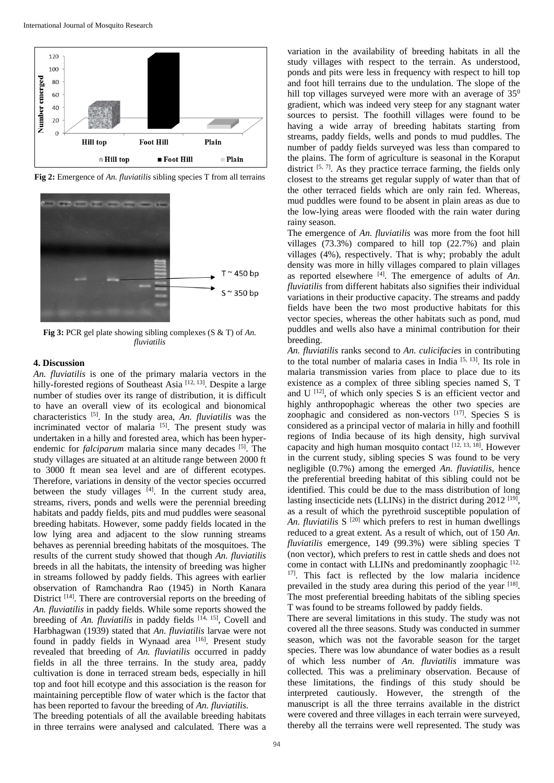

**Fig 2:** Emergence of *An. fluviatilis* sibling species T from all terrains



**Fig 3:** PCR gel plate showing sibling complexes (S & T) of *An. fluviatilis*

## **4. Discussion**

*An. fluviatilis* is one of the primary malaria vectors in the hilly-forested regions of Southeast Asia<sup>[12, 13]</sup>. Despite a large number of studies over its range of distribution, it is difficult to have an overall view of its ecological and bionomical characteristics [5]. In the study area, *An. fluviatilis* was the incriminated vector of malaria [5]. The present study was undertaken in a hilly and forested area, which has been hyperendemic for *falciparum* malaria since many decades <sup>[5]</sup>. The study villages are situated at an altitude range between 2000 ft to 3000 ft mean sea level and are of different ecotypes. Therefore, variations in density of the vector species occurred between the study villages  $[4]$ . In the current study area, streams, rivers, ponds and wells were the perennial breeding habitats and paddy fields, pits and mud puddles were seasonal breeding habitats. However, some paddy fields located in the low lying area and adjacent to the slow running streams behaves as perennial breeding habitats of the mosquitoes. The results of the current study showed that though *An. fluviatilis* breeds in all the habitats, the intensity of breeding was higher in streams followed by paddy fields. This agrees with earlier observation of Ramchandra Rao (1945) in North Kanara District <sup>[14]</sup>. There are controversial reports on the breeding of *An. fluviatilis* in paddy fields. While some reports showed the breeding of *An. fluviatilis* in paddy fields [14, 15], Covell and Harbhagwan (1939) stated that *An. fluviatilis* larvae were not found in paddy fields in Wynaad area [16]. Present study revealed that breeding of *An. fluviatilis* occurred in paddy fields in all the three terrains. In the study area, paddy cultivation is done in terraced stream beds, especially in hill top and foot hill ecotype and this association is the reason for maintaining perceptible flow of water which is the factor that has been reported to favour the breeding of *An. fluviatilis.*  The breeding potentials of all the available breeding habitats

in three terrains were analysed and calculated. There was a

variation in the availability of breeding habitats in all the study villages with respect to the terrain. As understood, ponds and pits were less in frequency with respect to hill top and foot hill terrains due to the undulation. The slope of the hill top villages surveyed were more with an average of  $35^{\circ}$ gradient, which was indeed very steep for any stagnant water sources to persist. The foothill villages were found to be having a wide array of breeding habitats starting from streams, paddy fields, wells and ponds to mud puddles. The number of paddy fields surveyed was less than compared to the plains. The form of agriculture is seasonal in the Koraput district  $[5, 7]$ . As they practice terrace farming, the fields only closest to the streams get regular supply of water than that of the other terraced fields which are only rain fed. Whereas, mud puddles were found to be absent in plain areas as due to the low-lying areas were flooded with the rain water during rainy season.

The emergence of *An. fluviatilis* was more from the foot hill villages (73.3%) compared to hill top (22.7%) and plain villages (4%), respectively. That is why; probably the adult density was more in hilly villages compared to plain villages as reported elsewhere  $[4]$ . The emergence of adults of  $An$ . *fluviatilis* from different habitats also signifies their individual variations in their productive capacity. The streams and paddy fields have been the two most productive habitats for this vector species, whereas the other habitats such as pond, mud puddles and wells also have a minimal contribution for their breeding.

*An. fluviatilis* ranks second to *An. culicifacies* in contributing to the total number of malaria cases in India [5, 13]. Its role in malaria transmission varies from place to place due to its existence as a complex of three sibling species named S, T and  $U^{[12]}$ , of which only species S is an efficient vector and highly anthropophagic whereas the other two species are zoophagic and considered as non-vectors [17]. Species S is considered as a principal vector of malaria in hilly and foothill regions of India because of its high density, high survival capacity and high human mosquito contact  $[12, 13, 18]$ . However in the current study, sibling species S was found to be very negligible (0.7%) among the emerged *An. fluviatilis,* hence the preferential breeding habitat of this sibling could not be identified. This could be due to the mass distribution of long lasting insecticide nets (LLINs) in the district during 2012<sup>[19]</sup>, as a result of which the pyrethroid susceptible population of An. *fluviatilis* S<sup>[20]</sup> which prefers to rest in human dwellings reduced to a great extent*.* As a result of which, out of 150 *An. fluviatilis* emergence, 149 (99.3%) were sibling species T (non vector), which prefers to rest in cattle sheds and does not come in contact with LLINs and predominantly zoophagic [12, <sup>17]</sup>. This fact is reflected by the low malaria incidence prevailed in the study area during this period of the year [18]. The most preferential breeding habitats of the sibling species T was found to be streams followed by paddy fields.

There are several limitations in this study. The study was not covered all the three seasons. Study was conducted in summer season, which was not the favorable season for the target species. There was low abundance of water bodies as a result of which less number of *An. fluviatilis* immature was collected*.* This was a preliminary observation. Because of these limitations, the findings of this study should be interpreted cautiously. However, the strength of the manuscript is all the three terrains available in the district were covered and three villages in each terrain were surveyed, thereby all the terrains were well represented. The study was